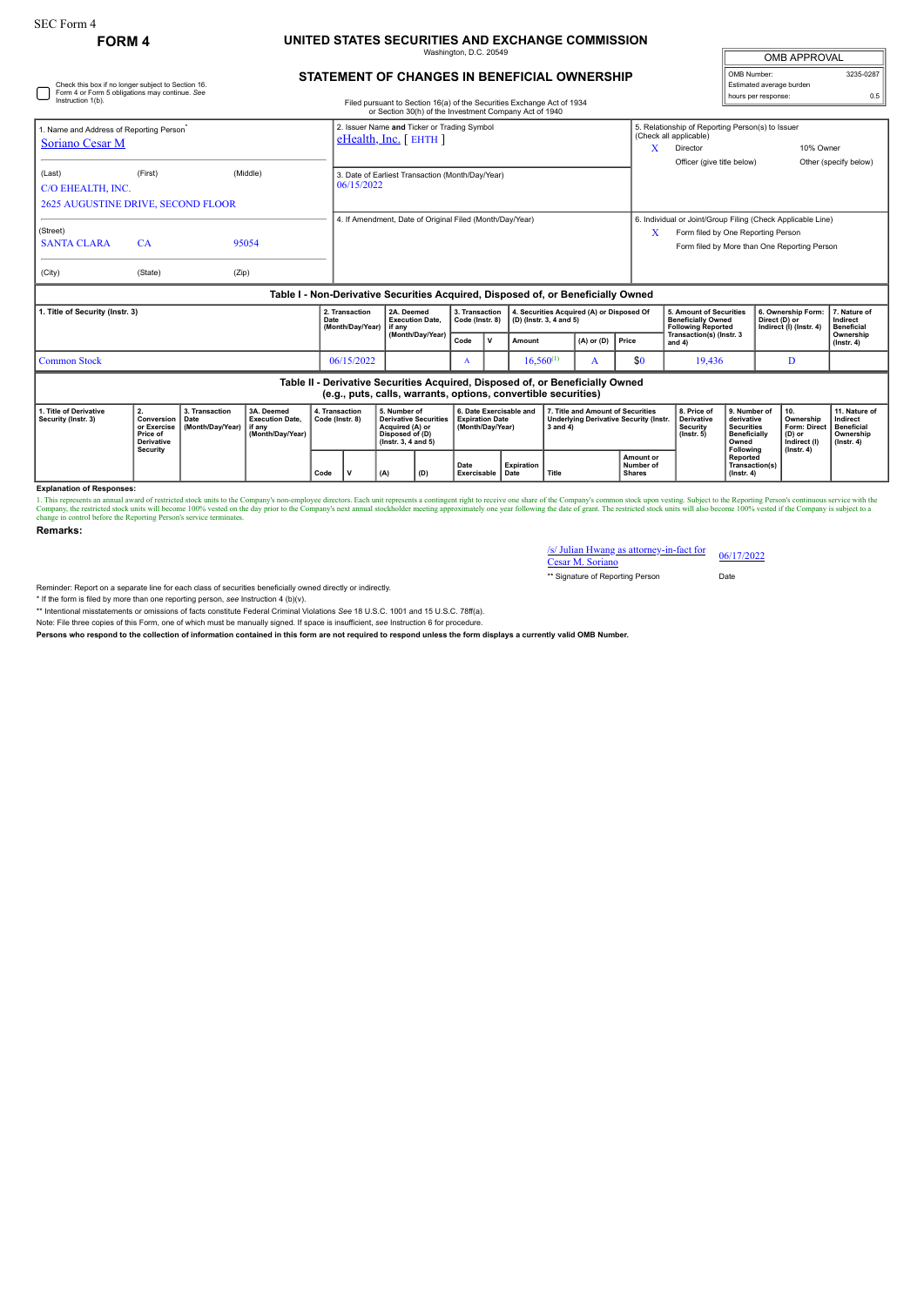Check this box if no longer subject to Section 16. Form 4 or Form 5 obligations may continue. *See*

## **FORM 4 UNITED STATES SECURITIES AND EXCHANGE COMMISSION** Washington, D.C. 20549

| <b>OMB APPROVAL</b>      |           |
|--------------------------|-----------|
| OMB Number:              | 3235-0287 |
| Estimated average burden |           |
| hours per response:      |           |

|  | STATEMENT OF CHANGES IN BENEFICIAL OWNERSHIP |  |
|--|----------------------------------------------|--|

| Instruction 1(b).                                                                                                                               |                                                                                     |                                            |                                                                    |                                    |                                                                          |     |                                                                                                                 |              |                                                                       | Filed pursuant to Section 16(a) of the Securities Exchange Act of 1934<br>or Section 30(h) of the Investment Company Act of 1940 |       |                                                                                                                                                   |                                                                                    |                                                                                                                                                            |                                                                                              | <b>NORTH POINT CONTROL</b>                     |                                               |                                                                                 |
|-------------------------------------------------------------------------------------------------------------------------------------------------|-------------------------------------------------------------------------------------|--------------------------------------------|--------------------------------------------------------------------|------------------------------------|--------------------------------------------------------------------------|-----|-----------------------------------------------------------------------------------------------------------------|--------------|-----------------------------------------------------------------------|----------------------------------------------------------------------------------------------------------------------------------|-------|---------------------------------------------------------------------------------------------------------------------------------------------------|------------------------------------------------------------------------------------|------------------------------------------------------------------------------------------------------------------------------------------------------------|----------------------------------------------------------------------------------------------|------------------------------------------------|-----------------------------------------------|---------------------------------------------------------------------------------|
| 1. Name and Address of Reporting Person <sup>®</sup><br>Soriano Cesar M                                                                         |                                                                                     |                                            |                                                                    |                                    | 2. Issuer Name and Ticker or Trading Symbol<br>$e$ Health, Inc. [ EHTH ] |     |                                                                                                                 |              |                                                                       |                                                                                                                                  |       |                                                                                                                                                   | x                                                                                  | 5. Relationship of Reporting Person(s) to Issuer<br>(Check all applicable)<br>10% Owner<br>Director<br>Officer (give title below)<br>Other (specify below) |                                                                                              |                                                |                                               |                                                                                 |
| (Last)<br>C/O EHEALTH, INC.<br><b>2625 AUGUSTINE DRIVE, SECOND FLOOR</b>                                                                        | (First)                                                                             |                                            | (Middle)                                                           |                                    | 3. Date of Earliest Transaction (Month/Day/Year)<br>06/15/2022           |     |                                                                                                                 |              |                                                                       |                                                                                                                                  |       |                                                                                                                                                   |                                                                                    |                                                                                                                                                            |                                                                                              |                                                |                                               |                                                                                 |
| (Street)<br><b>SANTA CLARA</b><br>(City)                                                                                                        | CA<br>(State)                                                                       | (Zip)                                      | 95054                                                              |                                    | 4. If Amendment, Date of Original Filed (Month/Dav/Year)                 |     |                                                                                                                 |              |                                                                       |                                                                                                                                  | X     | 6. Individual or Joint/Group Filing (Check Applicable Line)<br>Form filed by One Reporting Person<br>Form filed by More than One Reporting Person |                                                                                    |                                                                                                                                                            |                                                                                              |                                                |                                               |                                                                                 |
| Table I - Non-Derivative Securities Acquired, Disposed of, or Beneficially Owned                                                                |                                                                                     |                                            |                                                                    |                                    |                                                                          |     |                                                                                                                 |              |                                                                       |                                                                                                                                  |       |                                                                                                                                                   |                                                                                    |                                                                                                                                                            |                                                                                              |                                                |                                               |                                                                                 |
| 1. Title of Security (Instr. 3)                                                                                                                 |                                                                                     |                                            | Date                                                               | 2. Transaction<br>(Month/Day/Year) | 2A. Deemed<br><b>Execution Date,</b><br>if anv                           |     | 3. Transaction<br>Code (Instr. 8)                                                                               |              |                                                                       | 4. Securities Acquired (A) or Disposed Of<br>(D) (Instr. 3, 4 and 5)                                                             |       |                                                                                                                                                   | 5. Amount of Securities<br><b>Beneficially Owned</b><br><b>Following Reported</b>  |                                                                                                                                                            | 6. Ownership Form:<br>Direct (D) or<br>Indirect (I) (Instr. 4)                               |                                                | 7. Nature of<br>Indirect<br><b>Beneficial</b> |                                                                                 |
|                                                                                                                                                 |                                                                                     |                                            |                                                                    |                                    |                                                                          |     | (Month/Day/Year)                                                                                                | Code         | v                                                                     | Amount                                                                                                                           |       | $(A)$ or $(D)$                                                                                                                                    | Price                                                                              | Transaction(s) (Instr. 3<br>and $4$ )                                                                                                                      |                                                                                              |                                                |                                               | Ownership<br>$($ lnstr. 4 $)$                                                   |
| <b>Common Stock</b>                                                                                                                             |                                                                                     |                                            |                                                                    |                                    | 06/15/2022                                                               |     |                                                                                                                 | $\mathbf{A}$ |                                                                       | $16,560^{(1)}$                                                                                                                   |       | A                                                                                                                                                 | \$0                                                                                | 19,436<br>D                                                                                                                                                |                                                                                              |                                                |                                               |                                                                                 |
| Table II - Derivative Securities Acquired, Disposed of, or Beneficially Owned<br>(e.g., puts, calls, warrants, options, convertible securities) |                                                                                     |                                            |                                                                    |                                    |                                                                          |     |                                                                                                                 |              |                                                                       |                                                                                                                                  |       |                                                                                                                                                   |                                                                                    |                                                                                                                                                            |                                                                                              |                                                |                                               |                                                                                 |
| 1. Title of Derivative<br>Security (Instr. 3)                                                                                                   | 2.<br>Conversion<br>or Exercise<br>Price of<br><b>Derivative</b><br><b>Security</b> | 3. Transaction<br>Date<br>(Month/Day/Year) | 3A. Deemed<br><b>Execution Date,</b><br>if anv<br>(Month/Day/Year) |                                    | 4. Transaction<br>Code (Instr. 8)                                        |     | 5. Number of<br><b>Derivative Securities</b><br>Acquired (A) or<br>Disposed of (D)<br>$($ lnstr. 3, 4 and 5 $)$ |              | 6. Date Exercisable and<br><b>Expiration Date</b><br>(Month/Day/Year) |                                                                                                                                  |       |                                                                                                                                                   | 7. Title and Amount of Securities<br><b>Underlying Derivative Security (Instr.</b> | 8. Price of<br><b>Derivative</b><br>Security<br>$($ lnstr. 5 $)$                                                                                           | 9. Number of<br>derivative<br><b>Securities</b><br><b>Beneficially</b><br>Owned<br>Following | 10.<br>(D) or                                  | Ownership<br>Form: Direct<br>Indirect (I)     | 11. Nature of<br>Indirect<br><b>Beneficial</b><br>Ownership<br>$($ lnstr. 4 $)$ |
|                                                                                                                                                 |                                                                                     | Code                                       |                                                                    |                                    | v                                                                        | (A) | (D)                                                                                                             | Date         | Expiration<br>Exercisable Date                                        |                                                                                                                                  | Title |                                                                                                                                                   | Amount or<br>Number of<br><b>Shares</b>                                            |                                                                                                                                                            | $($ lnstr. 4 $)$                                                                             | $($ Instr. 4 $)$<br>Reported<br>Transaction(s) |                                               |                                                                                 |

**Explanation of Responses:**

1. This represents an annual award of restricted stock units to the Company's non-employee directors. Each unit represents a contingent right to receive one share of the Company's common stock upon vesting. Subject to the

**Remarks:**

| /s/ Julian Hwang as attorney-in-fact for<br>Cesar M. Soriano | 06/17/2022 |  |  |  |  |
|--------------------------------------------------------------|------------|--|--|--|--|
| ** Signature of Reporting Person                             | Date       |  |  |  |  |

Reminder: Report on a separate line for each class of securities beneficially owned directly or indirectly.

\* If the form is filed by more than one reporting person, *see* Instruction 4 (b)(v).

\*\* Intentional misstatements or omissions of facts constitute Federal Criminal Violations *See* 18 U.S.C. 1001 and 15 U.S.C. 78ff(a). Note: File three copies of this Form, one of which must be manually signed. If space is insufficient, *see* Instruction 6 for procedure.

**Persons who respond to the collection of information contained in this form are not required to respond unless the form displays a currently valid OMB Number.**